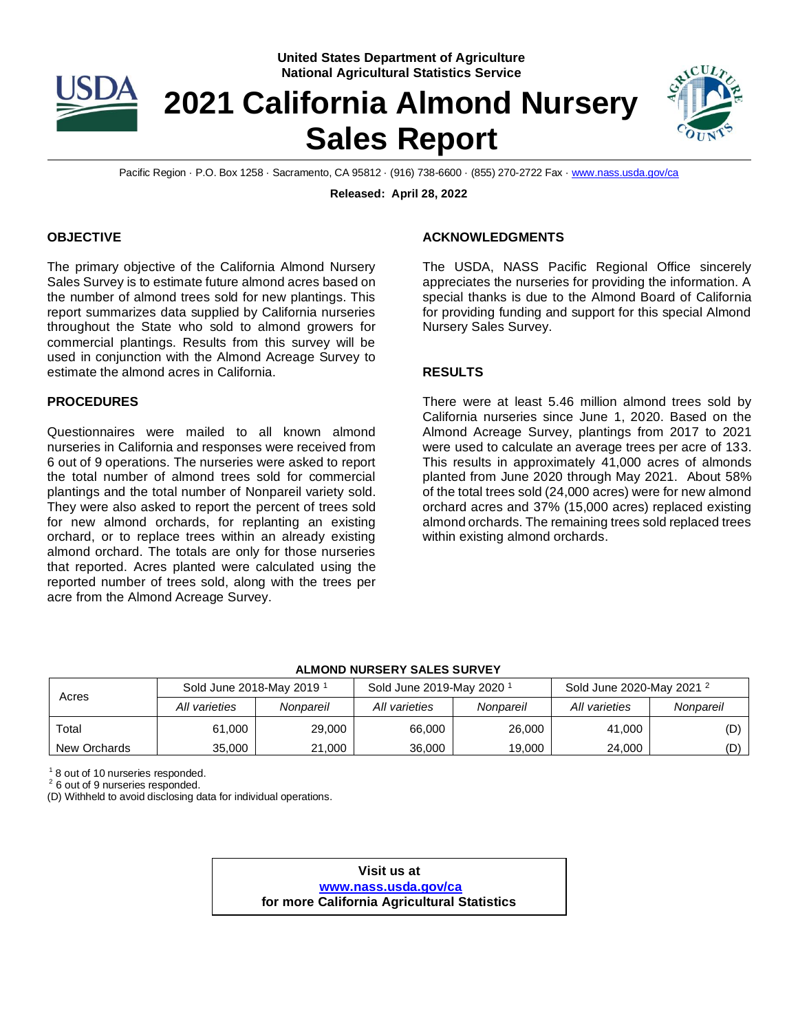

#### **United States Department of Agriculture National Agricultural Statistics Service**

# **2021 California Almond Nursery Sales Report**



Pacific Region · P.O. Box 1258 · Sacramento, CA 95812 · (916) 738-6600 · (855) 270-2722 Fax [· www.nass.usda.gov/ca](http://www.nass.usda.gov/ca)

**Released: April 28, 2022**

### **OBJECTIVE**

The primary objective of the California Almond Nursery Sales Survey is to estimate future almond acres based on the number of almond trees sold for new plantings. This report summarizes data supplied by California nurseries throughout the State who sold to almond growers for commercial plantings. Results from this survey will be used in conjunction with the Almond Acreage Survey to estimate the almond acres in California.

# **PROCEDURES**

Questionnaires were mailed to all known almond nurseries in California and responses were received from 6 out of 9 operations. The nurseries were asked to report the total number of almond trees sold for commercial plantings and the total number of Nonpareil variety sold. They were also asked to report the percent of trees sold for new almond orchards, for replanting an existing orchard, or to replace trees within an already existing almond orchard. The totals are only for those nurseries that reported. Acres planted were calculated using the reported number of trees sold, along with the trees per acre from the Almond Acreage Survey.

# **ACKNOWLEDGMENTS**

The USDA, NASS Pacific Regional Office sincerely appreciates the nurseries for providing the information. A special thanks is due to the Almond Board of California for providing funding and support for this special Almond Nursery Sales Survey.

#### **RESULTS**

There were at least 5.46 million almond trees sold by California nurseries since June 1, 2020. Based on the Almond Acreage Survey, plantings from 2017 to 2021 were used to calculate an average trees per acre of 133. This results in approximately 41,000 acres of almonds planted from June 2020 through May 2021. About 58% of the total trees sold (24,000 acres) were for new almond orchard acres and 37% (15,000 acres) replaced existing almond orchards. The remaining trees sold replaced trees within existing almond orchards.

#### **ALMOND NURSERY SALES SURVEY**

| Acres        | Sold June 2018-May 2019 <sup>1</sup> |           | Sold June 2019-May 2020 <sup>1</sup> |           | Sold June 2020-May 2021 <sup>2</sup> |           |
|--------------|--------------------------------------|-----------|--------------------------------------|-----------|--------------------------------------|-----------|
|              | All varieties                        | Nonpareil | All varieties                        | Nonpareil | All varieties                        | Nonpareil |
| Total        | 61.000                               | 29,000    | 66,000                               | 26,000    | 41.000                               | (D)       |
| New Orchards | 35,000                               | 21,000    | 36,000                               | 19.000    | 24,000                               | (D)       |

<sup>1</sup> 8 out of 10 nurseries responded.

<sup>2</sup> 6 out of 9 nurseries responded.

(D) Withheld to avoid disclosing data for individual operations.

**Visit us at [www.nass.usda.gov/ca](http://www.nass.usda.gov/ca) for more California Agricultural Statistics**